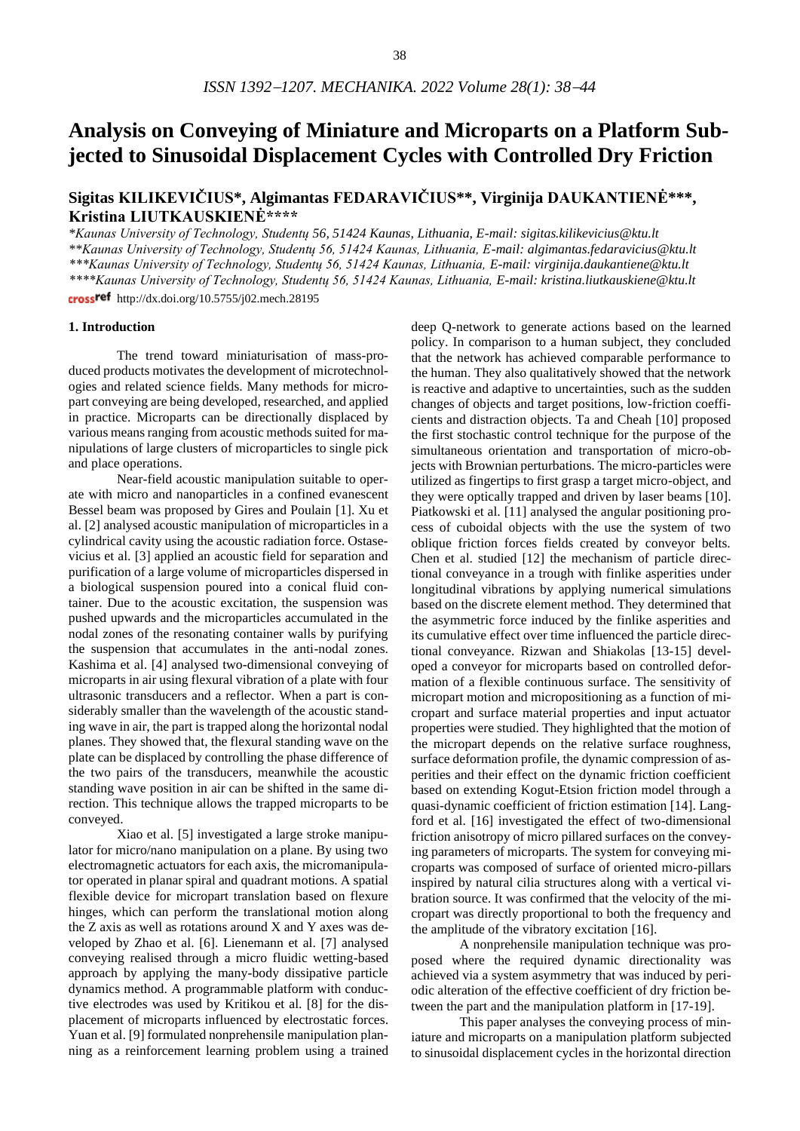# **Analysis on Conveying of Miniature and Microparts on a Platform Subjected to Sinusoidal Displacement Cycles with Controlled Dry Friction**

## **Sigitas KILIKEVIČIUS\*, Algimantas FEDARAVIČIUS\*\*, Virginija DAUKANTIENĖ\*\*\*, Kristina LIUTKAUSKIENĖ\*\*\*\***

*\*Kaunas University of Technology, Studentų 56, 51424 Kaunas, Lithuania, E-mail: sigitas.kilikevicius@ktu.lt*

*\*\*Kaunas University of Technology, Studentų 56, 51424 Kaunas, Lithuania, E-mail: algimantas.fedaravicius@ktu.lt*

*\*\*\*Kaunas University of Technology, Studentų 56, 51424 Kaunas, Lithuania, E-mail: virginija.daukantiene@ktu.lt*

*\*\*\*\*Kaunas University of Technology, Studentų 56, 51424 Kaunas, Lithuania, E-mail: kristina.liutkauskiene@ktu.lt*

cross<sup>ref</sup> http://dx.doi.org/10.5755/j02.mech.28195

#### **1. Introduction**

The trend toward miniaturisation of mass-produced products motivates the development of microtechnologies and related science fields. Many methods for micropart conveying are being developed, researched, and applied in practice. Microparts can be directionally displaced by various means ranging from acoustic methods suited for manipulations of large clusters of microparticles to single pick and place operations.

Near-field acoustic manipulation suitable to operate with micro and nanoparticles in a confined evanescent Bessel beam was proposed by Gires and Poulain [1]. Xu et al. [2] analysed acoustic manipulation of microparticles in a cylindrical cavity using the acoustic radiation force. Ostasevicius et al. [3] applied an acoustic field for separation and purification of a large volume of microparticles dispersed in a biological suspension poured into a conical fluid container. Due to the acoustic excitation, the suspension was pushed upwards and the microparticles accumulated in the nodal zones of the resonating container walls by purifying the suspension that accumulates in the anti-nodal zones. Kashima et al. [4] analysed two-dimensional conveying of microparts in air using flexural vibration of a plate with four ultrasonic transducers and a reflector. When a part is considerably smaller than the wavelength of the acoustic standing wave in air, the part is trapped along the horizontal nodal planes. They showed that, the flexural standing wave on the plate can be displaced by controlling the phase difference of the two pairs of the transducers, meanwhile the acoustic standing wave position in air can be shifted in the same direction. This technique allows the trapped microparts to be conveyed.

Xiao et al. [5] investigated a large stroke manipulator for micro/nano manipulation on a plane. By using two electromagnetic actuators for each axis, the micromanipulator operated in planar spiral and quadrant motions. A spatial flexible device for micropart translation based on flexure hinges, which can perform the translational motion along the Z axis as well as rotations around X and Y axes was developed by Zhao et al. [6]. Lienemann et al. [7] analysed conveying realised through a micro fluidic wetting-based approach by applying the many-body dissipative particle dynamics method. A programmable platform with conductive electrodes was used by Kritikou et al. [8] for the displacement of microparts influenced by electrostatic forces. Yuan et al. [9] formulated nonprehensile manipulation planning as a reinforcement learning problem using a trained

deep Q-network to generate actions based on the learned policy. In comparison to a human subject, they concluded that the network has achieved comparable performance to the human. They also qualitatively showed that the network is reactive and adaptive to uncertainties, such as the sudden changes of objects and target positions, low-friction coefficients and distraction objects. Ta and Cheah [10] proposed the first stochastic control technique for the purpose of the simultaneous orientation and transportation of micro-objects with Brownian perturbations. The micro-particles were utilized as fingertips to first grasp a target micro-object, and they were optically trapped and driven by laser beams [10]. Piatkowski et al. [11] analysed the angular positioning process of cuboidal objects with the use the system of two oblique friction forces fields created by conveyor belts. Chen et al. studied [12] the mechanism of particle directional conveyance in a trough with finlike asperities under longitudinal vibrations by applying numerical simulations based on the discrete element method. They determined that the asymmetric force induced by the finlike asperities and its cumulative effect over time influenced the particle directional conveyance. Rizwan and Shiakolas [13-15] developed a conveyor for microparts based on controlled deformation of a flexible continuous surface. The sensitivity of micropart motion and micropositioning as a function of micropart and surface material properties and input actuator properties were studied. They highlighted that the motion of the micropart depends on the relative surface roughness, surface deformation profile, the dynamic compression of asperities and their effect on the dynamic friction coefficient based on extending Kogut-Etsion friction model through a quasi-dynamic coefficient of friction estimation [14]. Langford et al. [16] investigated the effect of two-dimensional friction anisotropy of micro pillared surfaces on the conveying parameters of microparts. The system for conveying microparts was composed of surface of oriented micro-pillars inspired by natural cilia structures along with a vertical vibration source. It was confirmed that the velocity of the micropart was directly proportional to both the frequency and the amplitude of the vibratory excitation [16].

A nonprehensile manipulation technique was proposed where the required dynamic directionality was achieved via a system asymmetry that was induced by periodic alteration of the effective coefficient of dry friction between the part and the manipulation platform in [17-19].

This paper analyses the conveying process of miniature and microparts on a manipulation platform subjected to sinusoidal displacement cycles in the horizontal direction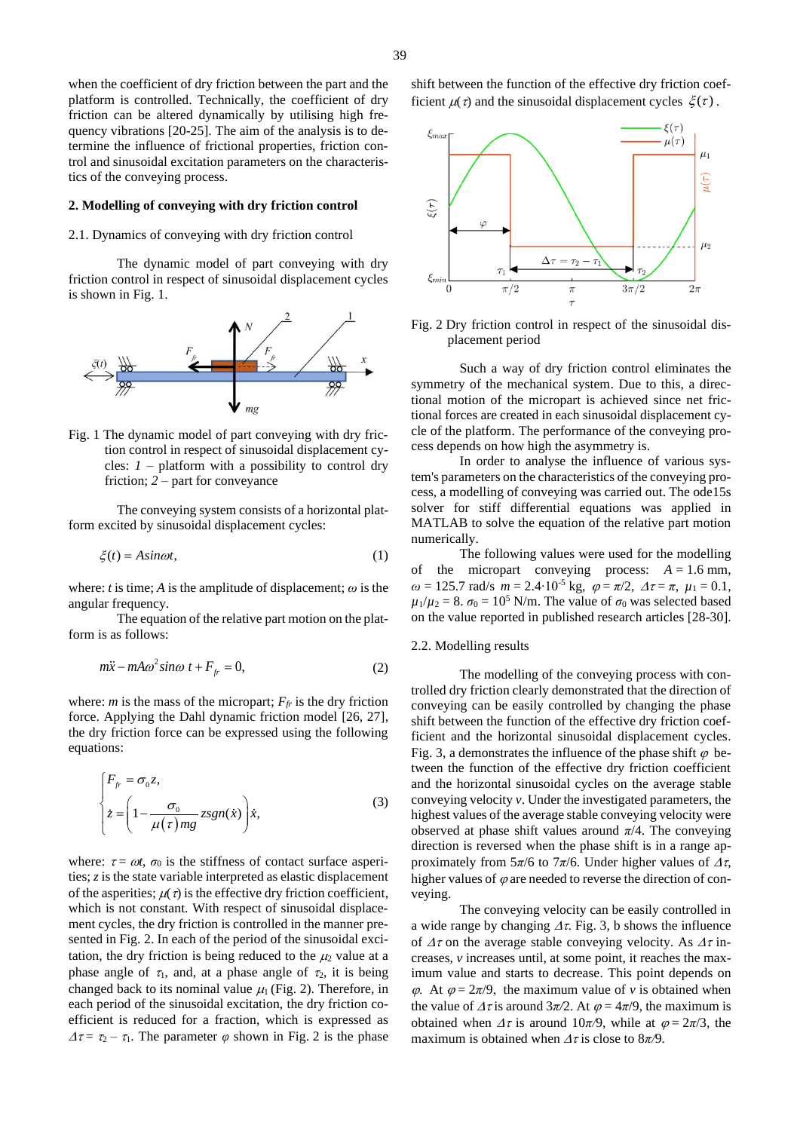platform is controlled. Technically, the coefficient of dry friction can be altered dynamically by utilising high frequency vibrations [20-25]. The aim of the analysis is to determine the influence of frictional properties, friction control and sinusoidal excitation parameters on the characteristics of the conveying process.

#### **2. Modelling of conveying with dry friction control**

#### 2.1. Dynamics of conveying with dry friction control

The dynamic model of part conveying with dry friction control in respect of sinusoidal displacement cycles is shown in [Fig.](#page-1-0) 1.



<span id="page-1-0"></span>Fig. 1 The dynamic model of part conveying with dry friction control in respect of sinusoidal displacement cycles:  $I$  – platform with a possibility to control dry friction; *2* – part for conveyance

The conveying system consists of a horizontal platform excited by sinusoidal displacement cycles:

$$
\xi(t) = A \sin \omega t,\tag{1}
$$

where: *t* is time; *A* is the amplitude of displacement;  $\omega$  is the angular frequency.

The equation of the relative part motion on the platform is as follows:

$$
m\ddot{x} - mA\omega^2 \sin\omega t + F_{fr} = 0,
$$
\n(2)

where: *m* is the mass of the micropart;  $F_f$  is the dry friction force. Applying the Dahl dynamic friction model [26, 27], the dry friction force can be expressed using the following equations:

$$
\begin{cases}\nF_{fr} = \sigma_0 z, \\
\dot{z} = \left(1 - \frac{\sigma_0}{\mu(\tau)mg} zsgn(\dot{x})\right) \dot{x},\n\end{cases}
$$
\n(3)

where:  $\tau = \omega t$ ,  $\sigma_0$  is the stiffness of contact surface asperities; *z* is the state variable interpreted as elastic displacement of the asperities;  $\mu(\tau)$  is the effective dry friction coefficient, which is not constant. With respect of sinusoidal displacement cycles, the dry friction is controlled in the manner presented in [Fig.](#page-1-1) 2. In each of the period of the sinusoidal excitation, the dry friction is being reduced to the  $\mu_2$  value at a phase angle of  $\tau_1$ , and, at a phase angle of  $\tau_2$ , it is being changed back to its nominal value  $\mu_1$  [\(Fig.](#page-1-1) 2). Therefore, in each period of the sinusoidal excitation, the dry friction coefficient is reduced for a fraction, which is expressed as  $\Delta \tau = \tau_2 - \tau_1$ . The parameter  $\varphi$  shown in [Fig.](#page-1-1) 2 is the phase shift between the function of the effective dry friction coefficient  $\mu(\tau)$  and the sinusoidal displacement cycles  $\xi(\tau)$ .



<span id="page-1-1"></span>Fig. 2 Dry friction control in respect of the sinusoidal displacement period

Such a way of dry friction control eliminates the symmetry of the mechanical system. Due to this, a directional motion of the micropart is achieved since net frictional forces are created in each sinusoidal displacement cycle of the platform. The performance of the conveying process depends on how high the asymmetry is.

In order to analyse the influence of various system's parameters on the characteristics of the conveying process, a modelling of conveying was carried out. The ode15s solver for stiff differential equations was applied in MATLAB to solve the equation of the relative part motion numerically.

The following values were used for the modelling of the micropart conveying process:  $A = 1.6$  mm,  $\omega = 125.7$  rad/s  $m = 2.4 \cdot 10^{-5}$  kg,  $\varphi = \pi/2$ ,  $\Delta \tau = \pi$ ,  $\mu_1 = 0.1$ ,  $\mu_1/\mu_2 = 8$ .  $\sigma_0 = 10^5$  N/m. The value of  $\sigma_0$  was selected based on the value reported in published research articles [28-30].

#### 2.2. Modelling results

The modelling of the conveying process with controlled dry friction clearly demonstrated that the direction of conveying can be easily controlled by changing the phase shift between the function of the effective dry friction coefficient and the horizontal sinusoidal displacement cycles. [Fig.](#page-2-0) 3, a demonstrates the influence of the phase shift  $\varphi$  between the function of the effective dry friction coefficient and the horizontal sinusoidal cycles on the average stable conveying velocity *v*. Under the investigated parameters, the highest values of the average stable conveying velocity were observed at phase shift values around *π*/4. The conveying direction is reversed when the phase shift is in a range approximately from  $5\pi/6$  to  $7\pi/6$ . Under higher values of  $\Delta \tau$ , higher values of  $\varphi$  are needed to reverse the direction of conveying.

The conveying velocity can be easily controlled in a wide range by changing  $\Delta \tau$ . [Fig.](#page-2-0) 3, b shows the influence of  $\Delta \tau$  on the average stable conveying velocity. As  $\Delta \tau$  increases, *v* increases until, at some point, it reaches the maximum value and starts to decrease. This point depends on  $\varphi$ . At  $\varphi = 2\pi/9$ , the maximum value of *v* is obtained when the value of  $\Delta \tau$  is around  $3\pi/2$ . At  $\varphi = 4\pi/9$ , the maximum is obtained when  $\Delta \tau$  is around 10 $\pi/9$ , while at  $\varphi = 2\pi/3$ , the maximum is obtained when  $\Delta \tau$  is close to 8 $\pi$ /9*.*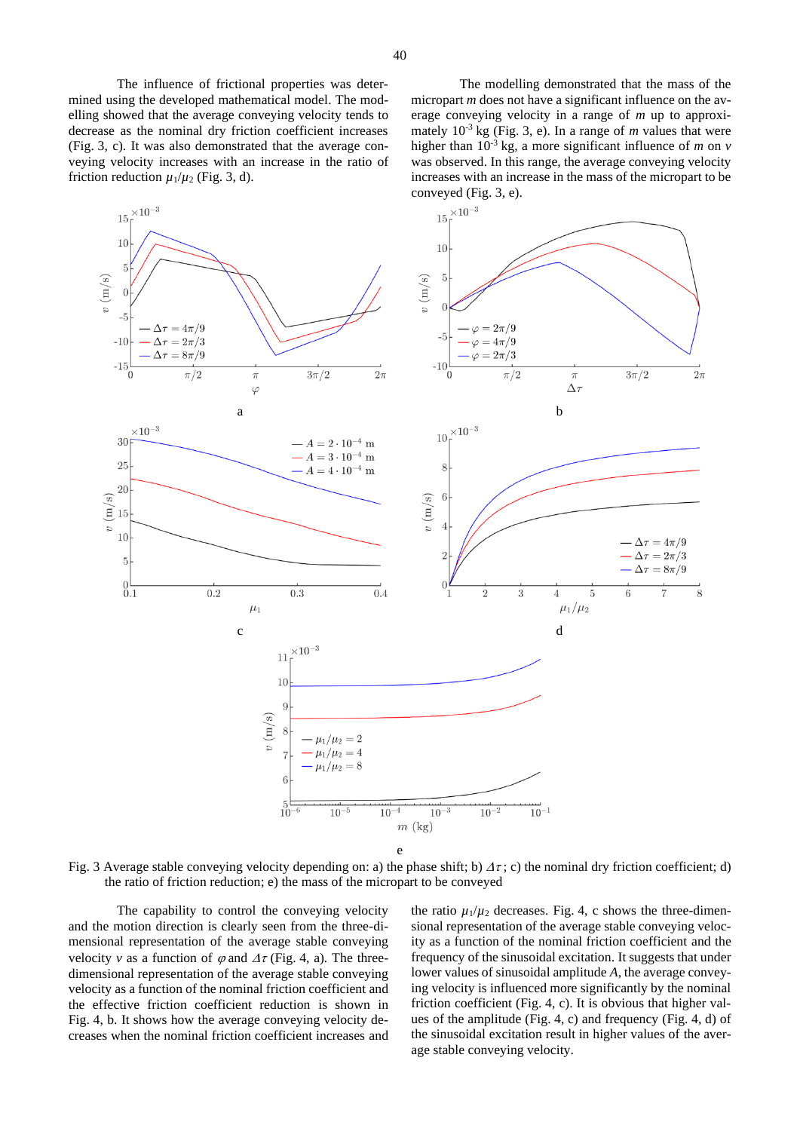The influence of frictional properties was determined using the developed mathematical model. The modelling showed that the average conveying velocity tends to decrease as the nominal dry friction coefficient increases [\(Fig.](#page-2-0) 3, c). It was also demonstrated that the average conveying velocity increases with an increase in the ratio of friction reduction  $\mu_1/\mu_2$  [\(Fig.](#page-2-0) 3, d).

The modelling demonstrated that the mass of the micropart *m* does not have a significant influence on the average conveying velocity in a range of *m* up to approximately  $10^{-3}$  kg [\(Fig.](#page-2-0) 3, e). In a range of *m* values that were higher than  $10^{-3}$  kg, a more significant influence of *m* on *v* was observed. In this range, the average conveying velocity increases with an increase in the mass of the micropart to be conveyed [\(Fig.](#page-2-0) 3, e).



<span id="page-2-0"></span>Fig. 3 Average stable conveying velocity depending on: a) the phase shift; b)  $\Delta \tau$ ; c) the nominal dry friction coefficient; d) the ratio of friction reduction; e) the mass of the micropart to be conveyed

The capability to control the conveying velocity and the motion direction is clearly seen from the three-dimensional representation of the average stable conveying velocity *v* as a function of  $\varphi$  and  $\varDelta \tau$  [\(Fig.](#page-3-0) 4, a). The threedimensional representation of the average stable conveying velocity as a function of the nominal friction coefficient and the effective friction coefficient reduction is shown in [Fig.](#page-3-0) 4, b. It shows how the average conveying velocity decreases when the nominal friction coefficient increases and the ratio  $\mu_1/\mu_2$  decreases. [Fig.](#page-3-0) 4, c shows the three-dimensional representation of the average stable conveying velocity as a function of the nominal friction coefficient and the frequency of the sinusoidal excitation. It suggests that under lower values of sinusoidal amplitude *A*, the average conveying velocity is influenced more significantly by the nominal friction coefficient [\(Fig.](#page-3-0) 4, c). It is obvious that higher values of the amplitude [\(Fig.](#page-3-0) 4, c) and frequency [\(Fig.](#page-3-0) 4, d) of the sinusoidal excitation result in higher values of the average stable conveying velocity.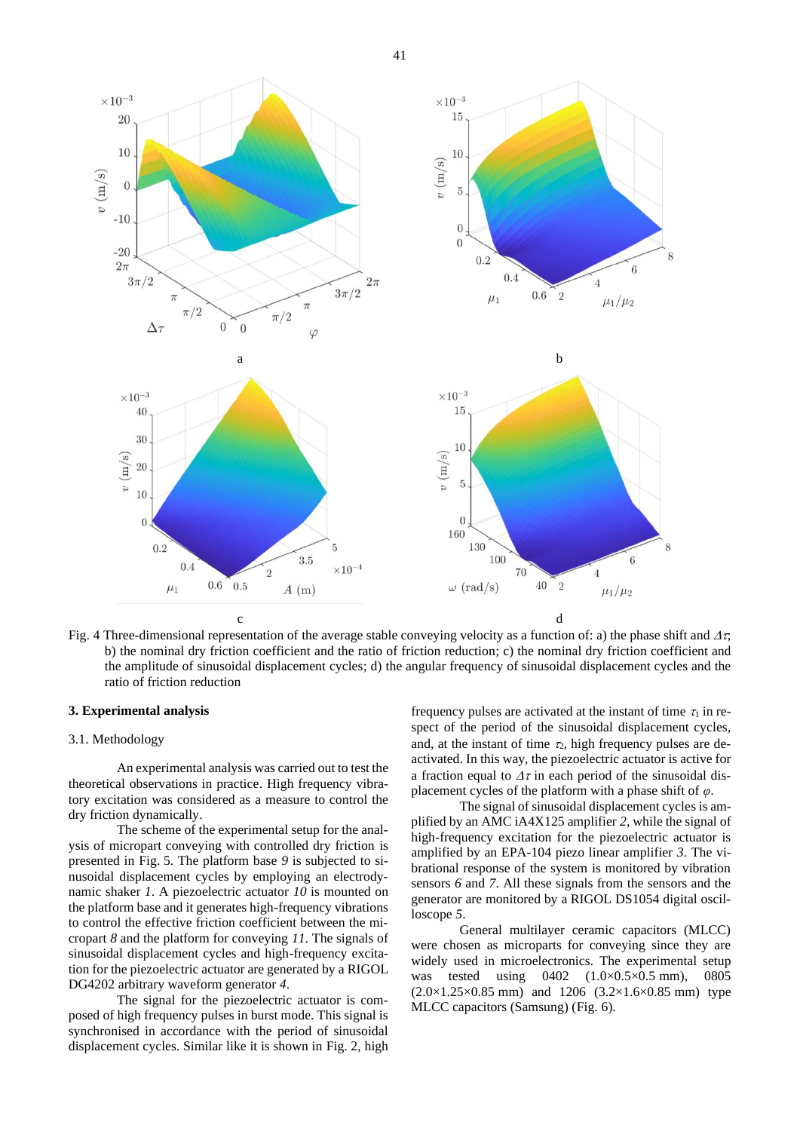

<span id="page-3-0"></span>Fig. 4 Three-dimensional representation of the average stable conveying velocity as a function of: a) the phase shift and  $\Delta \tau$ . b) the nominal dry friction coefficient and the ratio of friction reduction; c) the nominal dry friction coefficient and the amplitude of sinusoidal displacement cycles; d) the angular frequency of sinusoidal displacement cycles and the ratio of friction reduction

#### **3. Experimental analysis**

#### 3.1. Methodology

An experimental analysis was carried out to test the theoretical observations in practice. High frequency vibratory excitation was considered as a measure to control the dry friction dynamically.

The scheme of the experimental setup for the analysis of micropart conveying with controlled dry friction is presented in [Fig.](#page-4-0) 5. The platform base *9* is subjected to sinusoidal displacement cycles by employing an electrodynamic shaker *1*. A piezoelectric actuator *10* is mounted on the platform base and it generates high-frequency vibrations to control the effective friction coefficient between the micropart *8* and the platform for conveying *11*. The signals of sinusoidal displacement cycles and high-frequency excitation for the piezoelectric actuator are generated by a RIGOL DG4202 arbitrary waveform generator *4*.

The signal for the piezoelectric actuator is composed of high frequency pulses in burst mode. This signal is synchronised in accordance with the period of sinusoidal displacement cycles. Similar like it is shown in [Fig.](#page-1-1) 2, high frequency pulses are activated at the instant of time  $\tau_1$  in respect of the period of the sinusoidal displacement cycles, and, at the instant of time  $\tau_2$ , high frequency pulses are deactivated. In this way, the piezoelectric actuator is active for a fraction equal to  $\Delta \tau$  in each period of the sinusoidal displacement cycles of the platform with a phase shift of *φ*.

The signal of sinusoidal displacement cycles is amplified by an AMC iA4X125 amplifier *2*, while the signal of high-frequency excitation for the piezoelectric actuator is amplified by an EPA-104 piezo linear amplifier *3*. The vibrational response of the system is monitored by vibration sensors *6* and *7*. All these signals from the sensors and the generator are monitored by a RIGOL DS1054 digital oscilloscope *5*.

General multilayer ceramic capacitors (MLCC) were chosen as microparts for conveying since they are widely used in microelectronics. The experimental setup was tested using 0402 (1.0×0.5×0.5 mm), 0805  $(2.0 \times 1.25 \times 0.85 \text{ mm})$  and 1206  $(3.2 \times 1.6 \times 0.85 \text{ mm})$  type MLCC capacitors (Samsung) [\(Fig.](#page-4-1) 6).

41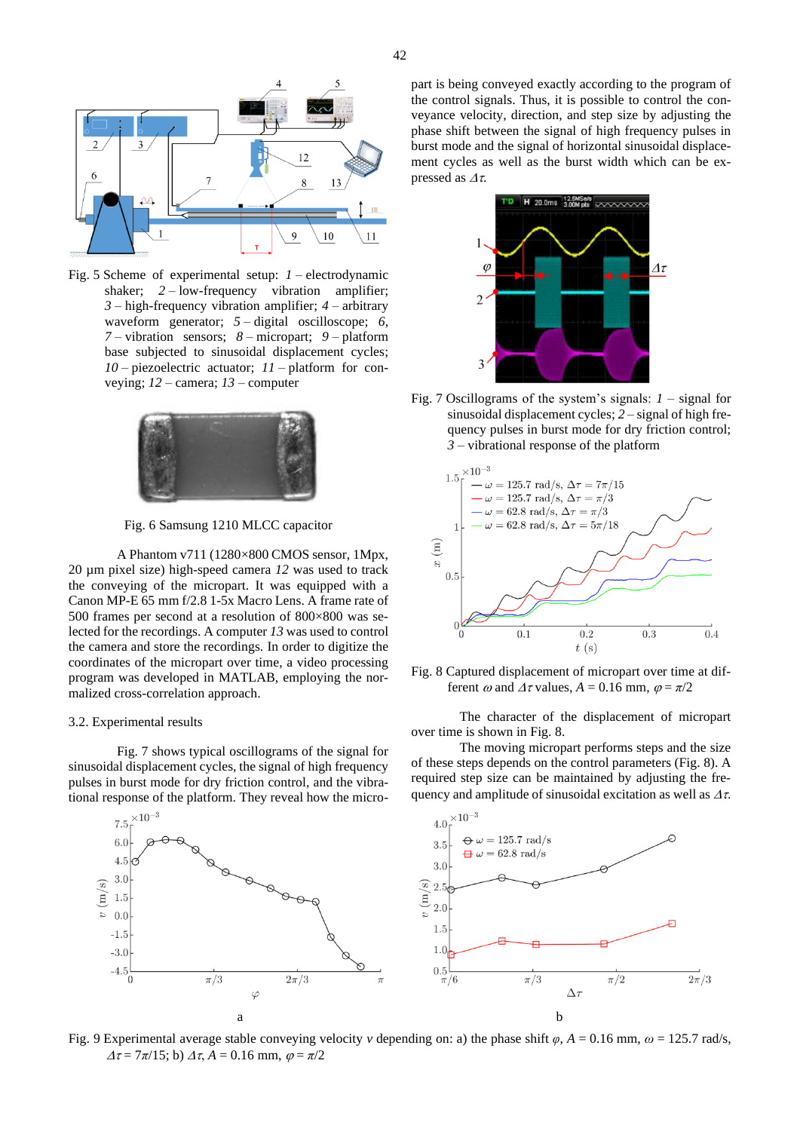

<span id="page-4-0"></span>Fig. 5 Scheme of experimental setup: *1* – electrodynamic shaker; 2 – low-frequency vibration amplifier; *3* – high-frequency vibration amplifier; *4* – arbitrary waveform generator; *5* – digital oscilloscope; *6*, *7* – vibration sensors; *8* – micropart; *9* – platform base subjected to sinusoidal displacement cycles; *10* – piezoelectric actuator; *11* – platform for conveying; *12* – camera; *13* – computer



Fig. 6 Samsung 1210 MLCC capacitor

<span id="page-4-1"></span>A Phantom v711 (1280×800 CMOS sensor, 1Mpx, 20 µm pixel size) high-speed camera *12* was used to track the conveying of the micropart. It was equipped with a Canon MP-E 65 mm f/2.8 1-5x Macro Lens. A frame rate of 500 frames per second at a resolution of 800×800 was selected for the recordings. A computer *13* was used to control the camera and store the recordings. In order to digitize the coordinates of the micropart over time, a video processing program was developed in MATLAB, employing the normalized cross-correlation approach.

#### 3.2. Experimental results

Fig. 7 shows typical oscillograms of the signal for sinusoidal displacement cycles, the signal of high frequency pulses in burst mode for dry friction control, and the vibrational response of the platform. They reveal how the micro-





Fig. 7 Oscillograms of the system's signals: *1* – signal for sinusoidal displacement cycles; *2* – signal of high frequency pulses in burst mode for dry friction control; *3* – vibrational response of the platform



Fig. 8 Captured displacement of micropart over time at different  $\omega$  and  $\Delta \tau$  values,  $A = 0.16$  mm,  $\varphi = \pi/2$ 

The character of the displacement of micropart over time is shown in Fig. 8.

The moving micropart performs steps and the size of these steps depends on the control parameters (Fig. 8). A required step size can be maintained by adjusting the frequency and amplitude of sinusoidal excitation as well as  $\Delta \tau$ .



<span id="page-4-2"></span>Fig. 9 Experimental average stable conveying velocity *v* depending on: a) the phase shift *φ*, *A* = 0.16 mm, *ω* = 125.7 rad/s,  $\Delta \tau = 7\pi/15$ ; b)  $\Delta \tau$ ,  $A = 0.16$  mm,  $\varphi = \pi/2$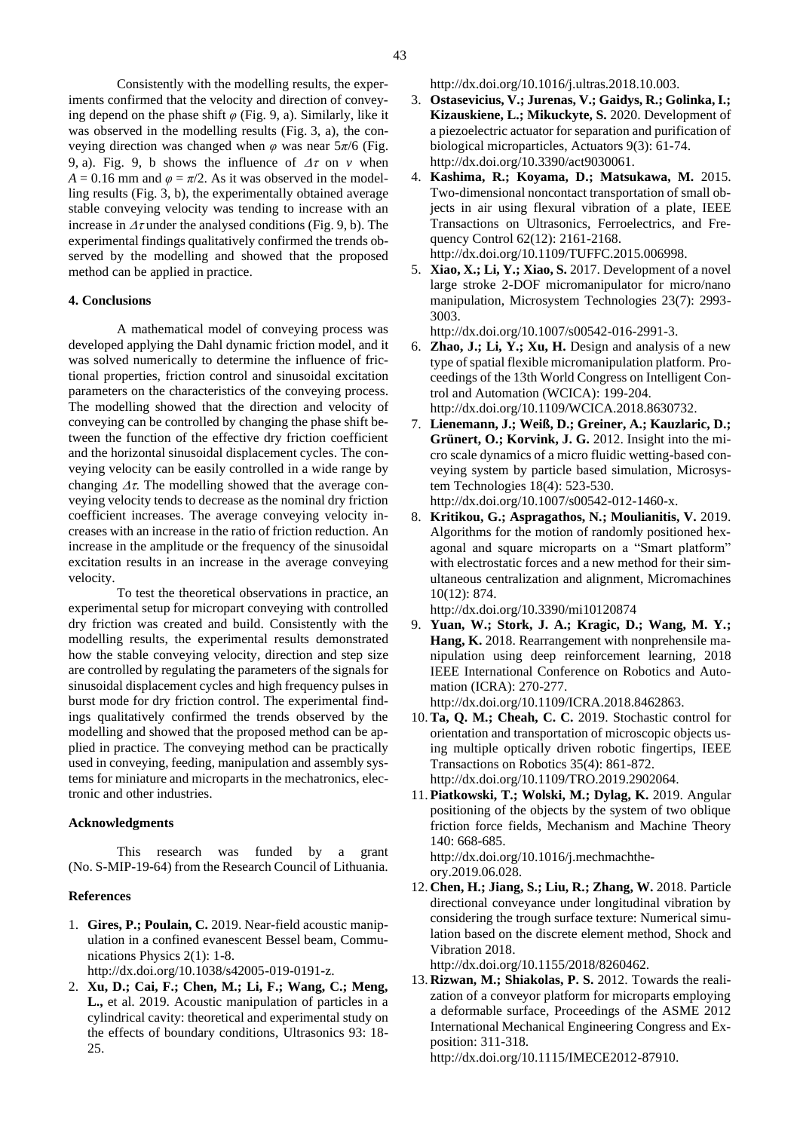Consistently with the modelling results, the experiments confirmed that the velocity and direction of conveying depend on the phase shift *φ* [\(Fig. 9,](#page-4-2) a). Similarly, like it was observed in the modelling results [\(Fig.](#page-2-0) 3, a), the conveying direction was changed when *φ* was near 5*π*/6 [\(Fig.](#page-4-2)  [9,](#page-4-2) a). [Fig. 9,](#page-4-2) b shows the influence of  $\Delta \tau$  on *v* when  $A = 0.16$  mm and  $\varphi = \pi/2$ . As it was observed in the modelling results [\(Fig.](#page-2-0) 3, b), the experimentally obtained average stable conveying velocity was tending to increase with an increase in  $\Delta \tau$  under the analysed conditions [\(Fig. 9,](#page-4-2) b). The experimental findings qualitatively confirmed the trends observed by the modelling and showed that the proposed method can be applied in practice.

#### **4. Conclusions**

A mathematical model of conveying process was developed applying the Dahl dynamic friction model, and it was solved numerically to determine the influence of frictional properties, friction control and sinusoidal excitation parameters on the characteristics of the conveying process. The modelling showed that the direction and velocity of conveying can be controlled by changing the phase shift between the function of the effective dry friction coefficient and the horizontal sinusoidal displacement cycles. The conveying velocity can be easily controlled in a wide range by changing  $\Delta \tau$ . The modelling showed that the average conveying velocity tends to decrease as the nominal dry friction coefficient increases. The average conveying velocity increases with an increase in the ratio of friction reduction. An increase in the amplitude or the frequency of the sinusoidal excitation results in an increase in the average conveying velocity.

To test the theoretical observations in practice, an experimental setup for micropart conveying with controlled dry friction was created and build. Consistently with the modelling results, the experimental results demonstrated how the stable conveying velocity, direction and step size are controlled by regulating the parameters of the signals for sinusoidal displacement cycles and high frequency pulses in burst mode for dry friction control. The experimental findings qualitatively confirmed the trends observed by the modelling and showed that the proposed method can be applied in practice. The conveying method can be practically used in conveying, feeding, manipulation and assembly systems for miniature and microparts in the mechatronics, electronic and other industries.

#### **Acknowledgments**

This research was funded by a grant (No. S-MIP-19-64) from the Research Council of Lithuania.

#### **References**

1. **Gires, P.; Poulain, C.** 2019. Near-field acoustic manipulation in a confined evanescent Bessel beam, Communications Physics 2(1): 1-8.

http://dx.doi.org/10.1038/s42005-019-0191-z.

2. **Xu, D.; Cai, F.; Chen, M.; Li, F.; Wang, C.; Meng, L.,** et al. 2019. Acoustic manipulation of particles in a cylindrical cavity: theoretical and experimental study on the effects of boundary conditions, Ultrasonics 93: 18- 25.

http://dx.doi.org/10.1016/j.ultras.2018.10.003.

- 3. **Ostasevicius, V.; Jurenas, V.; Gaidys, R.; Golinka, I.; Kizauskiene, L.; Mikuckyte, S.** 2020. Development of a piezoelectric actuator for separation and purification of biological microparticles, Actuators 9(3): 61-74. http://dx.doi.org/10.3390/act9030061.
- 4. **Kashima, R.; Koyama, D.; Matsukawa, M.** 2015. Two-dimensional noncontact transportation of small objects in air using flexural vibration of a plate, IEEE Transactions on Ultrasonics, Ferroelectrics, and Frequency Control 62(12): 2161-2168.

http://dx.doi.org/10.1109/TUFFC.2015.006998.

5. **Xiao, X.; Li, Y.; Xiao, S.** 2017. Development of a novel large stroke 2-DOF micromanipulator for micro/nano manipulation, Microsystem Technologies 23(7): 2993- 3003.

http://dx.doi.org/10.1007/s00542-016-2991-3.

- 6. **Zhao, J.; Li, Y.; Xu, H.** Design and analysis of a new type of spatial flexible micromanipulation platform. Proceedings of the 13th World Congress on Intelligent Control and Automation (WCICA): 199-204. http://dx.doi.org/10.1109/WCICA.2018.8630732.
- 7. **Lienemann, J.; Weiß, D.; Greiner, A.; Kauzlaric, D.; Grünert, O.; Korvink, J. G.** 2012. Insight into the micro scale dynamics of a micro fluidic wetting-based conveying system by particle based simulation, Microsystem Technologies 18(4): 523-530. http://dx.doi.org/10.1007/s00542-012-1460-x.
- 8. **Kritikou, G.; Aspragathos, N.; Moulianitis, V.** 2019. Algorithms for the motion of randomly positioned hexagonal and square microparts on a "Smart platform" with electrostatic forces and a new method for their simultaneous centralization and alignment, Micromachines 10(12): 874.

http://dx.doi.org/10.3390/mi10120874

9. **Yuan, W.; Stork, J. A.; Kragic, D.; Wang, M. Y.; Hang, K.** 2018. Rearrangement with nonprehensile manipulation using deep reinforcement learning, 2018 IEEE International Conference on Robotics and Automation (ICRA): 270-277.

http://dx.doi.org/10.1109/ICRA.2018.8462863.

- 10.**Ta, Q. M.; Cheah, C. C.** 2019. Stochastic control for orientation and transportation of microscopic objects using multiple optically driven robotic fingertips, IEEE Transactions on Robotics 35(4): 861-872. http://dx.doi.org/10.1109/TRO.2019.2902064.
- 11. **Piatkowski, T.; Wolski, M.; Dylag, K.** 2019. Angular positioning of the objects by the system of two oblique friction force fields, Mechanism and Machine Theory 140: 668-685.

http://dx.doi.org/10.1016/j.mechmachtheory.2019.06.028.

12. **Chen, H.; Jiang, S.; Liu, R.; Zhang, W.** 2018. Particle directional conveyance under longitudinal vibration by considering the trough surface texture: Numerical simulation based on the discrete element method, Shock and Vibration 2018.

http://dx.doi.org/10.1155/2018/8260462.

13. **Rizwan, M.; Shiakolas, P. S.** 2012. Towards the realization of a conveyor platform for microparts employing a deformable surface, Proceedings of the ASME 2012 International Mechanical Engineering Congress and Exposition: 311-318.

http://dx.doi.org/10.1115/IMECE2012-87910.